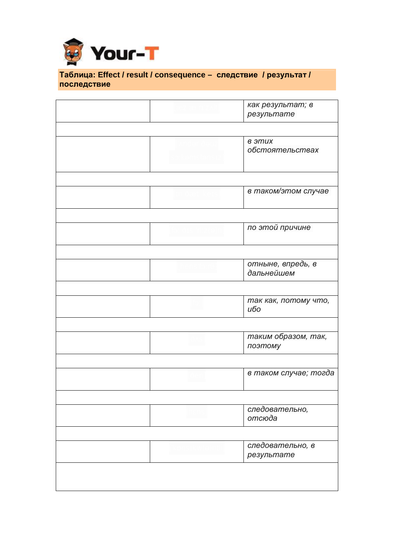

## \_ **Таблица: Effect / result / consequence – следствие / результат / последствие**

|  | как результат; в<br>результате  |
|--|---------------------------------|
|  |                                 |
|  | в этих<br>обстоятельствах       |
|  |                                 |
|  | в таком/этом случае             |
|  |                                 |
|  | по этой причине                 |
|  |                                 |
|  | отныне, впредь, в<br>дальнейшем |
|  |                                 |
|  | так как, потому что,<br>ибо     |
|  |                                 |
|  | таким образом, так,<br>поэтому  |
|  |                                 |
|  | в таком случае; тогда           |
|  |                                 |
|  | следовательно,<br>отсюда        |
|  |                                 |
|  | следовательно, в<br>результате  |
|  |                                 |
|  |                                 |